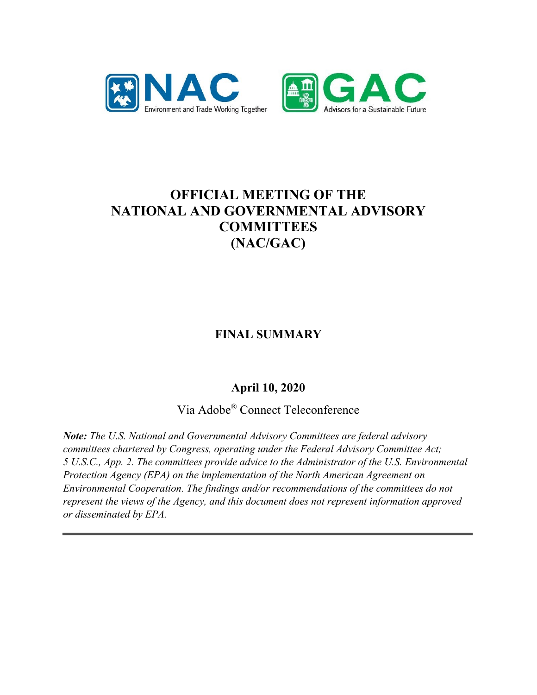



# **OFFICIAL MEETING OF THE NATIONAL AND GOVERNMENTAL ADVISORY COMMITTEES (NAC/GAC)**

**FINAL SUMMARY**

# **April 10, 2020**

Via Adobe® Connect Teleconference

*Note: The U.S. National and Governmental Advisory Committees are federal advisory committees chartered by Congress, operating under the Federal Advisory Committee Act; 5 U.S.C., App. 2. The committees provide advice to the Administrator of the U.S. Environmental Protection Agency (EPA) on the implementation of the North American Agreement on Environmental Cooperation. The findings and/or recommendations of the committees do not represent the views of the Agency, and this document does not represent information approved or disseminated by EPA.*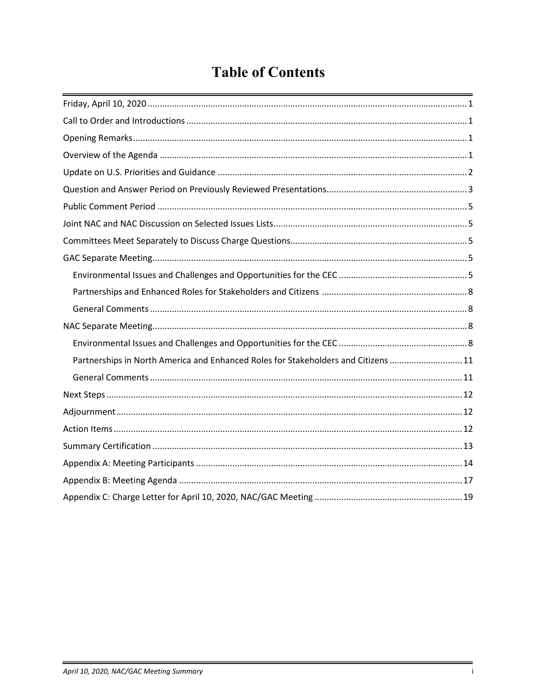# **Table of Contents**

| Partnerships in North America and Enhanced Roles for Stakeholders and Citizens  11 |
|------------------------------------------------------------------------------------|
|                                                                                    |
|                                                                                    |
|                                                                                    |
|                                                                                    |
|                                                                                    |
|                                                                                    |
|                                                                                    |
|                                                                                    |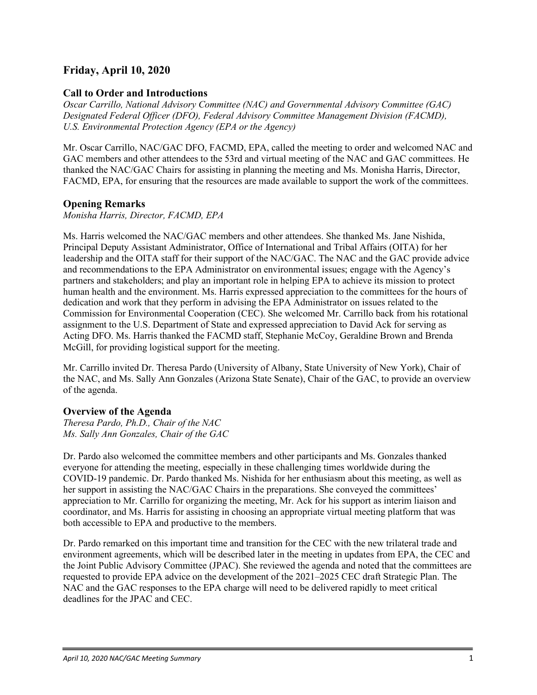# <span id="page-2-0"></span>**Friday, April 10, 2020**

# <span id="page-2-1"></span>**Call to Order and Introductions**

*Oscar Carrillo, National Advisory Committee (NAC) and Governmental Advisory Committee (GAC) Designated Federal Officer (DFO), Federal Advisory Committee Management Division (FACMD), U.S. Environmental Protection Agency (EPA or the Agency)*

Mr. Oscar Carrillo, NAC/GAC DFO, FACMD, EPA, called the meeting to order and welcomed NAC and GAC members and other attendees to the 53rd and virtual meeting of the NAC and GAC committees. He thanked the NAC/GAC Chairs for assisting in planning the meeting and Ms. Monisha Harris, Director, FACMD, EPA, for ensuring that the resources are made available to support the work of the committees.

# <span id="page-2-2"></span>**Opening Remarks**

*Monisha Harris, Director, FACMD, EPA*

Ms. Harris welcomed the NAC/GAC members and other attendees. She thanked Ms. Jane Nishida, Principal Deputy Assistant Administrator, Office of International and Tribal Affairs (OITA) for her leadership and the OITA staff for their support of the NAC/GAC. The NAC and the GAC provide advice and recommendations to the EPA Administrator on environmental issues; engage with the Agency's partners and stakeholders; and play an important role in helping EPA to achieve its mission to protect human health and the environment. Ms. Harris expressed appreciation to the committees for the hours of dedication and work that they perform in advising the EPA Administrator on issues related to the Commission for Environmental Cooperation (CEC). She welcomed Mr. Carrillo back from his rotational assignment to the U.S. Department of State and expressed appreciation to David Ack for serving as Acting DFO. Ms. Harris thanked the FACMD staff, Stephanie McCoy, Geraldine Brown and Brenda McGill, for providing logistical support for the meeting.

Mr. Carrillo invited Dr. Theresa Pardo (University of Albany, State University of New York), Chair of the NAC, and Ms. Sally Ann Gonzales (Arizona State Senate), Chair of the GAC, to provide an overview of the agenda.

# <span id="page-2-3"></span>**Overview of the Agenda**

*Theresa Pardo, Ph.D., Chair of the NAC Ms. Sally Ann Gonzales, Chair of the GAC*

Dr. Pardo also welcomed the committee members and other participants and Ms. Gonzales thanked everyone for attending the meeting, especially in these challenging times worldwide during the COVID-19 pandemic. Dr. Pardo thanked Ms. Nishida for her enthusiasm about this meeting, as well as her support in assisting the NAC/GAC Chairs in the preparations. She conveyed the committees' appreciation to Mr. Carrillo for organizing the meeting, Mr. Ack for his support as interim liaison and coordinator, and Ms. Harris for assisting in choosing an appropriate virtual meeting platform that was both accessible to EPA and productive to the members.

Dr. Pardo remarked on this important time and transition for the CEC with the new trilateral trade and environment agreements, which will be described later in the meeting in updates from EPA, the CEC and the Joint Public Advisory Committee (JPAC). She reviewed the agenda and noted that the committees are requested to provide EPA advice on the development of the 2021–2025 CEC draft Strategic Plan. The NAC and the GAC responses to the EPA charge will need to be delivered rapidly to meet critical deadlines for the JPAC and CEC.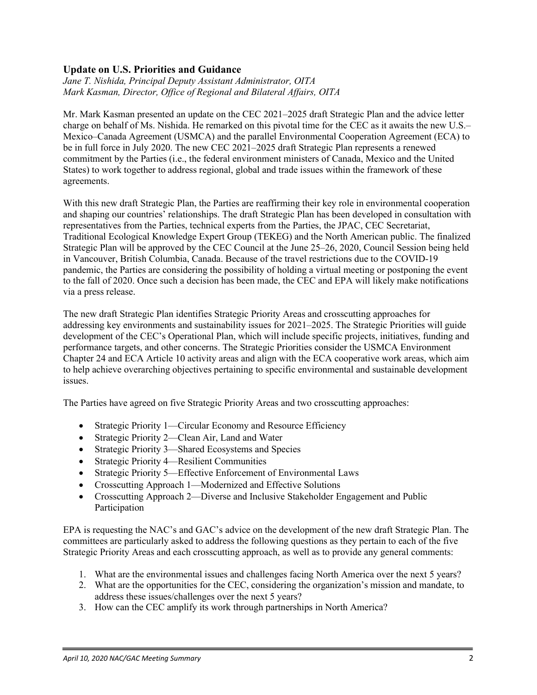# <span id="page-3-0"></span>**Update on U.S. Priorities and Guidance**

*Jane T. Nishida, Principal Deputy Assistant Administrator, OITA Mark Kasman, Director, Office of Regional and Bilateral Affairs, OITA*

Mr. Mark Kasman presented an update on the CEC 2021–2025 draft Strategic Plan and the advice letter charge on behalf of Ms. Nishida. He remarked on this pivotal time for the CEC as it awaits the new U.S.– Mexico–Canada Agreement (USMCA) and the parallel Environmental Cooperation Agreement (ECA) to be in full force in July 2020. The new CEC 2021–2025 draft Strategic Plan represents a renewed commitment by the Parties (i.e., the federal environment ministers of Canada, Mexico and the United States) to work together to address regional, global and trade issues within the framework of these agreements.

With this new draft Strategic Plan, the Parties are reaffirming their key role in environmental cooperation and shaping our countries' relationships. The draft Strategic Plan has been developed in consultation with representatives from the Parties, technical experts from the Parties, the JPAC, CEC Secretariat, Traditional Ecological Knowledge Expert Group (TEKEG) and the North American public. The finalized Strategic Plan will be approved by the CEC Council at the June 25–26, 2020, Council Session being held in Vancouver, British Columbia, Canada. Because of the travel restrictions due to the COVID-19 pandemic, the Parties are considering the possibility of holding a virtual meeting or postponing the event to the fall of 2020. Once such a decision has been made, the CEC and EPA will likely make notifications via a press release.

The new draft Strategic Plan identifies Strategic Priority Areas and crosscutting approaches for addressing key environments and sustainability issues for 2021–2025. The Strategic Priorities will guide development of the CEC's Operational Plan, which will include specific projects, initiatives, funding and performance targets, and other concerns. The Strategic Priorities consider the USMCA Environment Chapter 24 and ECA Article 10 activity areas and align with the ECA cooperative work areas, which aim to help achieve overarching objectives pertaining to specific environmental and sustainable development issues.

The Parties have agreed on five Strategic Priority Areas and two crosscutting approaches:

- Strategic Priority 1—Circular Economy and Resource Efficiency
- Strategic Priority 2—Clean Air, Land and Water
- Strategic Priority 3—Shared Ecosystems and Species
- Strategic Priority 4—Resilient Communities
- Strategic Priority 5—Effective Enforcement of Environmental Laws
- Crosscutting Approach 1—Modernized and Effective Solutions
- Crosscutting Approach 2—Diverse and Inclusive Stakeholder Engagement and Public Participation

EPA is requesting the NAC's and GAC's advice on the development of the new draft Strategic Plan. The committees are particularly asked to address the following questions as they pertain to each of the five Strategic Priority Areas and each crosscutting approach, as well as to provide any general comments:

- 1. What are the environmental issues and challenges facing North America over the next 5 years?
- 2. What are the opportunities for the CEC, considering the organization's mission and mandate, to address these issues/challenges over the next 5 years?
- 3. How can the CEC amplify its work through partnerships in North America?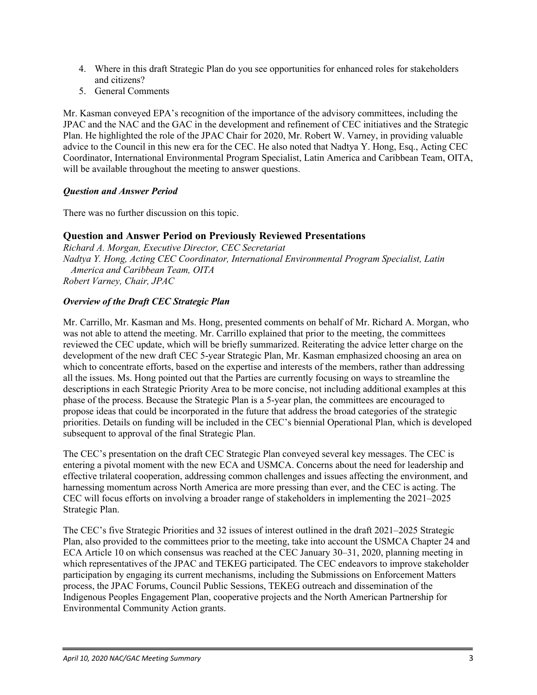- 4. Where in this draft Strategic Plan do you see opportunities for enhanced roles for stakeholders and citizens?
- 5. General Comments

Mr. Kasman conveyed EPA's recognition of the importance of the advisory committees, including the JPAC and the NAC and the GAC in the development and refinement of CEC initiatives and the Strategic Plan. He highlighted the role of the JPAC Chair for 2020, Mr. Robert W. Varney, in providing valuable advice to the Council in this new era for the CEC. He also noted that Nadtya Y. Hong, Esq., Acting CEC Coordinator, International Environmental Program Specialist, Latin America and Caribbean Team, OITA, will be available throughout the meeting to answer questions.

# *Question and Answer Period*

There was no further discussion on this topic.

# <span id="page-4-0"></span>**Question and Answer Period on Previously Reviewed Presentations**

*Richard A. Morgan, Executive Director, CEC Secretariat Nadtya Y. Hong, Acting CEC Coordinator, International Environmental Program Specialist, Latin America and Caribbean Team, OITA Robert Varney, Chair, JPAC*

# *Overview of the Draft CEC Strategic Plan*

Mr. Carrillo, Mr. Kasman and Ms. Hong, presented comments on behalf of Mr. Richard A. Morgan, who was not able to attend the meeting. Mr. Carrillo explained that prior to the meeting, the committees reviewed the CEC update, which will be briefly summarized. Reiterating the advice letter charge on the development of the new draft CEC 5-year Strategic Plan, Mr. Kasman emphasized choosing an area on which to concentrate efforts, based on the expertise and interests of the members, rather than addressing all the issues. Ms. Hong pointed out that the Parties are currently focusing on ways to streamline the descriptions in each Strategic Priority Area to be more concise, not including additional examples at this phase of the process. Because the Strategic Plan is a 5-year plan, the committees are encouraged to propose ideas that could be incorporated in the future that address the broad categories of the strategic priorities. Details on funding will be included in the CEC's biennial Operational Plan, which is developed subsequent to approval of the final Strategic Plan.

The CEC's presentation on the draft CEC Strategic Plan conveyed several key messages. The CEC is entering a pivotal moment with the new ECA and USMCA. Concerns about the need for leadership and effective trilateral cooperation, addressing common challenges and issues affecting the environment, and harnessing momentum across North America are more pressing than ever, and the CEC is acting. The CEC will focus efforts on involving a broader range of stakeholders in implementing the 2021–2025 Strategic Plan.

The CEC's five Strategic Priorities and 32 issues of interest outlined in the draft 2021–2025 Strategic Plan, also provided to the committees prior to the meeting, take into account the USMCA Chapter 24 and ECA Article 10 on which consensus was reached at the CEC January 30–31, 2020, planning meeting in which representatives of the JPAC and TEKEG participated. The CEC endeavors to improve stakeholder participation by engaging its current mechanisms, including the Submissions on Enforcement Matters process, the JPAC Forums, Council Public Sessions, TEKEG outreach and dissemination of the Indigenous Peoples Engagement Plan, cooperative projects and the North American Partnership for Environmental Community Action grants.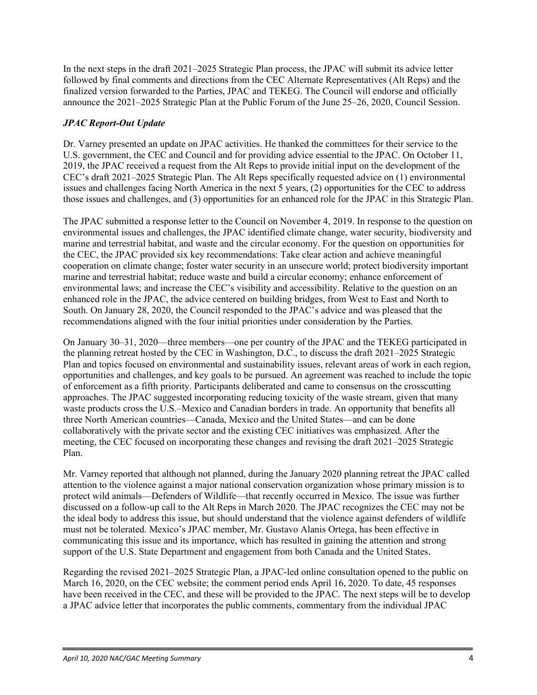In the next steps in the draft 2021–2025 Strategic Plan process, the JPAC will submit its advice letter followed by final comments and directions from the CEC Alternate Representatives (Alt Reps) and the finalized version forwarded to the Parties, JPAC and TEKEG. The Council will endorse and officially announce the 2021–2025 Strategic Plan at the Public Forum of the June 25–26, 2020, Council Session.

# *JPAC Report-Out Update*

Dr. Varney presented an update on JPAC activities. He thanked the committees for their service to the U.S. government, the CEC and Council and for providing advice essential to the JPAC. On October 11, 2019, the JPAC received a request from the Alt Reps to provide initial input on the development of the CEC's draft 2021–2025 Strategic Plan. The Alt Reps specifically requested advice on (1) environmental issues and challenges facing North America in the next 5 years, (2) opportunities for the CEC to address those issues and challenges, and (3) opportunities for an enhanced role for the JPAC in this Strategic Plan.

The JPAC submitted a response letter to the Council on November 4, 2019. In response to the question on environmental issues and challenges, the JPAC identified climate change, water security, biodiversity and marine and terrestrial habitat, and waste and the circular economy. For the question on opportunities for the CEC, the JPAC provided six key recommendations: Take clear action and achieve meaningful cooperation on climate change; foster water security in an unsecure world; protect biodiversity important marine and terrestrial habitat; reduce waste and build a circular economy; enhance enforcement of environmental laws; and increase the CEC's visibility and accessibility. Relative to the question on an enhanced role in the JPAC, the advice centered on building bridges, from West to East and North to South. On January 28, 2020, the Council responded to the JPAC's advice and was pleased that the recommendations aligned with the four initial priorities under consideration by the Parties.

On January 30–31, 2020—three members—one per country of the JPAC and the TEKEG participated in the planning retreat hosted by the CEC in Washington, D.C., to discuss the draft 2021–2025 Strategic Plan and topics focused on environmental and sustainability issues, relevant areas of work in each region, opportunities and challenges, and key goals to be pursued. An agreement was reached to include the topic of enforcement as a fifth priority. Participants deliberated and came to consensus on the crosscutting approaches. The JPAC suggested incorporating reducing toxicity of the waste stream, given that many waste products cross the U.S.–Mexico and Canadian borders in trade. An opportunity that benefits all three North American countries—Canada, Mexico and the United States—and can be done collaboratively with the private sector and the existing CEC initiatives was emphasized. After the meeting, the CEC focused on incorporating these changes and revising the draft 2021–2025 Strategic Plan.

Mr. Varney reported that although not planned, during the January 2020 planning retreat the JPAC called attention to the violence against a major national conservation organization whose primary mission is to protect wild animals—Defenders of Wildlife—that recently occurred in Mexico. The issue was further discussed on a follow-up call to the Alt Reps in March 2020. The JPAC recognizes the CEC may not be the ideal body to address this issue, but should understand that the violence against defenders of wildlife must not be tolerated. Mexico's JPAC member, Mr. Gustavo Alanis Ortega, has been effective in communicating this issue and its importance, which has resulted in gaining the attention and strong support of the U.S. State Department and engagement from both Canada and the United States.

Regarding the revised 2021–2025 Strategic Plan, a JPAC-led online consultation opened to the public on March 16, 2020, on the CEC website; the comment period ends April 16, 2020. To date, 45 responses have been received in the CEC, and these will be provided to the JPAC. The next steps will be to develop a JPAC advice letter that incorporates the public comments, commentary from the individual JPAC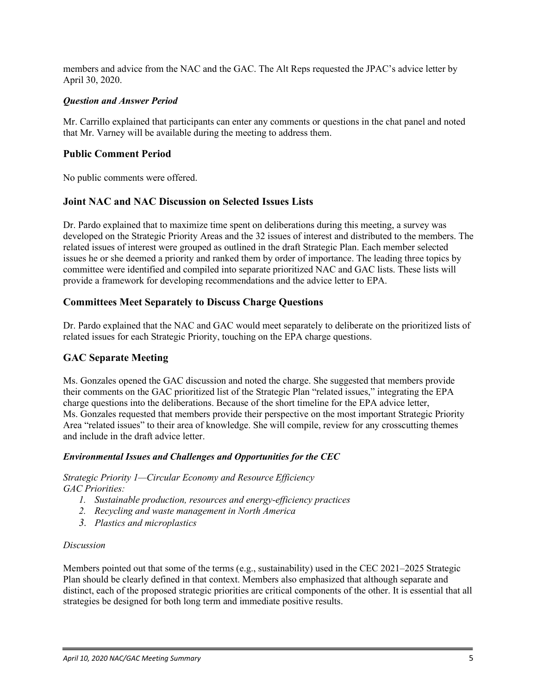members and advice from the NAC and the GAC. The Alt Reps requested the JPAC's advice letter by April 30, 2020.

#### *Question and Answer Period*

Mr. Carrillo explained that participants can enter any comments or questions in the chat panel and noted that Mr. Varney will be available during the meeting to address them.

# <span id="page-6-0"></span>**Public Comment Period**

No public comments were offered.

# <span id="page-6-1"></span>**Joint NAC and NAC Discussion on Selected Issues Lists**

Dr. Pardo explained that to maximize time spent on deliberations during this meeting, a survey was developed on the Strategic Priority Areas and the 32 issues of interest and distributed to the members. The related issues of interest were grouped as outlined in the draft Strategic Plan. Each member selected issues he or she deemed a priority and ranked them by order of importance. The leading three topics by committee were identified and compiled into separate prioritized NAC and GAC lists. These lists will provide a framework for developing recommendations and the advice letter to EPA.

# <span id="page-6-2"></span>**Committees Meet Separately to Discuss Charge Questions**

Dr. Pardo explained that the NAC and GAC would meet separately to deliberate on the prioritized lists of related issues for each Strategic Priority, touching on the EPA charge questions.

# <span id="page-6-3"></span>**GAC Separate Meeting**

Ms. Gonzales opened the GAC discussion and noted the charge. She suggested that members provide their comments on the GAC prioritized list of the Strategic Plan "related issues," integrating the EPA charge questions into the deliberations. Because of the short timeline for the EPA advice letter, Ms. Gonzales requested that members provide their perspective on the most important Strategic Priority Area "related issues" to their area of knowledge. She will compile, review for any crosscutting themes and include in the draft advice letter.

#### <span id="page-6-4"></span>*Environmental Issues and Challenges and Opportunities for the CEC*

*Strategic Priority 1—Circular Economy and Resource Efficiency GAC Priorities:*

- *1. Sustainable production, resources and energy-efficiency practices*
- *2. Recycling and waste management in North America*
- *3. Plastics and microplastics*

#### *Discussion*

Members pointed out that some of the terms (e.g., sustainability) used in the CEC 2021–2025 Strategic Plan should be clearly defined in that context. Members also emphasized that although separate and distinct, each of the proposed strategic priorities are critical components of the other. It is essential that all strategies be designed for both long term and immediate positive results.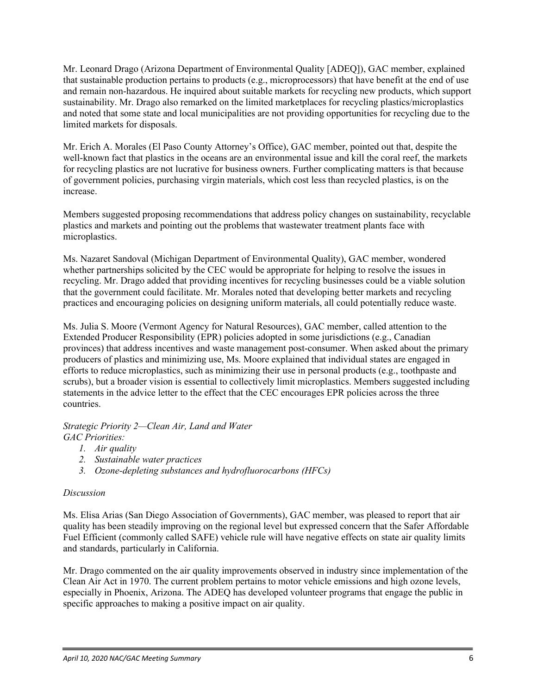Mr. Leonard Drago (Arizona Department of Environmental Quality [ADEQ]), GAC member, explained that sustainable production pertains to products (e.g., microprocessors) that have benefit at the end of use and remain non-hazardous. He inquired about suitable markets for recycling new products, which support sustainability. Mr. Drago also remarked on the limited marketplaces for recycling plastics/microplastics and noted that some state and local municipalities are not providing opportunities for recycling due to the limited markets for disposals.

Mr. Erich A. Morales (El Paso County Attorney's Office), GAC member, pointed out that, despite the well-known fact that plastics in the oceans are an environmental issue and kill the coral reef, the markets for recycling plastics are not lucrative for business owners. Further complicating matters is that because of government policies, purchasing virgin materials, which cost less than recycled plastics, is on the increase.

Members suggested proposing recommendations that address policy changes on sustainability, recyclable plastics and markets and pointing out the problems that wastewater treatment plants face with microplastics.

Ms. Nazaret Sandoval (Michigan Department of Environmental Quality), GAC member, wondered whether partnerships solicited by the CEC would be appropriate for helping to resolve the issues in recycling. Mr. Drago added that providing incentives for recycling businesses could be a viable solution that the government could facilitate. Mr. Morales noted that developing better markets and recycling practices and encouraging policies on designing uniform materials, all could potentially reduce waste.

Ms. Julia S. Moore (Vermont Agency for Natural Resources), GAC member, called attention to the Extended Producer Responsibility (EPR) policies adopted in some jurisdictions (e.g., Canadian provinces) that address incentives and waste management post-consumer. When asked about the primary producers of plastics and minimizing use, Ms. Moore explained that individual states are engaged in efforts to reduce microplastics, such as minimizing their use in personal products (e.g., toothpaste and scrubs), but a broader vision is essential to collectively limit microplastics. Members suggested including statements in the advice letter to the effect that the CEC encourages EPR policies across the three countries.

#### *Strategic Priority 2—Clean Air, Land and Water GAC Priorities:*

- *1. Air quality*
- *2. Sustainable water practices*
- *3. Ozone-depleting substances and hydrofluorocarbons (HFCs)*

# *Discussion*

Ms. Elisa Arias (San Diego Association of Governments), GAC member, was pleased to report that air quality has been steadily improving on the regional level but expressed concern that the Safer Affordable Fuel Efficient (commonly called SAFE) vehicle rule will have negative effects on state air quality limits and standards, particularly in California.

Mr. Drago commented on the air quality improvements observed in industry since implementation of the Clean Air Act in 1970. The current problem pertains to motor vehicle emissions and high ozone levels, especially in Phoenix, Arizona. The ADEQ has developed volunteer programs that engage the public in specific approaches to making a positive impact on air quality.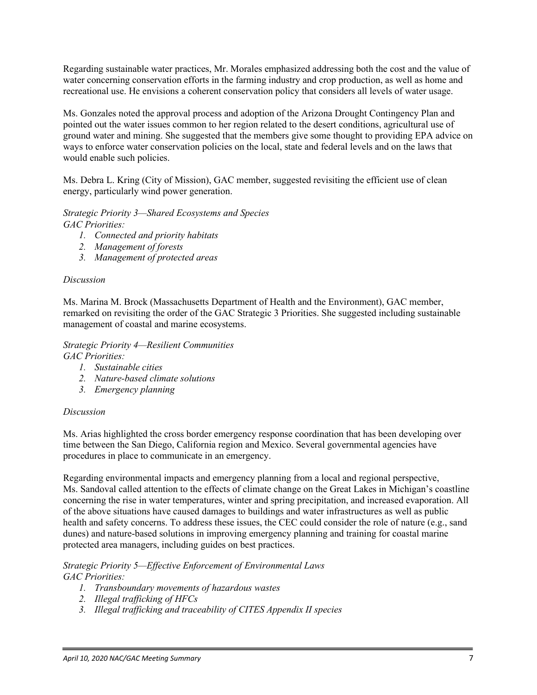Regarding sustainable water practices, Mr. Morales emphasized addressing both the cost and the value of water concerning conservation efforts in the farming industry and crop production, as well as home and recreational use. He envisions a coherent conservation policy that considers all levels of water usage.

Ms. Gonzales noted the approval process and adoption of the Arizona Drought Contingency Plan and pointed out the water issues common to her region related to the desert conditions, agricultural use of ground water and mining. She suggested that the members give some thought to providing EPA advice on ways to enforce water conservation policies on the local, state and federal levels and on the laws that would enable such policies.

Ms. Debra L. Kring (City of Mission), GAC member, suggested revisiting the efficient use of clean energy, particularly wind power generation.

*Strategic Priority 3—Shared Ecosystems and Species GAC Priorities:*

- *1. Connected and priority habitats*
- *2. Management of forests*
- *3. Management of protected areas*

#### *Discussion*

Ms. Marina M. Brock (Massachusetts Department of Health and the Environment), GAC member, remarked on revisiting the order of the GAC Strategic 3 Priorities. She suggested including sustainable management of coastal and marine ecosystems.

*Strategic Priority 4—Resilient Communities GAC Priorities:*

- *1. Sustainable cities*
- *2. Nature-based climate solutions*
- *3. Emergency planning*

#### *Discussion*

Ms. Arias highlighted the cross border emergency response coordination that has been developing over time between the San Diego, California region and Mexico. Several governmental agencies have procedures in place to communicate in an emergency.

Regarding environmental impacts and emergency planning from a local and regional perspective, Ms. Sandoval called attention to the effects of climate change on the Great Lakes in Michigan's coastline concerning the rise in water temperatures, winter and spring precipitation, and increased evaporation. All of the above situations have caused damages to buildings and water infrastructures as well as public health and safety concerns. To address these issues, the CEC could consider the role of nature (e.g., sand dunes) and nature-based solutions in improving emergency planning and training for coastal marine protected area managers, including guides on best practices.

#### *Strategic Priority 5—Effective Enforcement of Environmental Laws GAC Priorities:*

- *1. Transboundary movements of hazardous wastes*
- *2. Illegal trafficking of HFCs*
- *3. Illegal trafficking and traceability of CITES Appendix II species*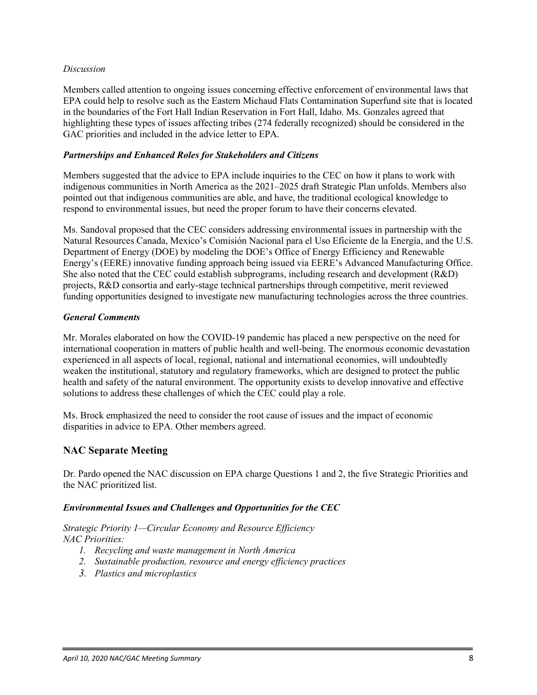#### *Discussion*

Members called attention to ongoing issues concerning effective enforcement of environmental laws that EPA could help to resolve such as the Eastern Michaud Flats Contamination Superfund site that is located in the boundaries of the Fort Hall Indian Reservation in Fort Hall, Idaho. Ms. Gonzales agreed that highlighting these types of issues affecting tribes (274 federally recognized) should be considered in the GAC priorities and included in the advice letter to EPA.

#### <span id="page-9-0"></span>*Partnerships and Enhanced Roles for Stakeholders and Citizens*

Members suggested that the advice to EPA include inquiries to the CEC on how it plans to work with indigenous communities in North America as the 2021–2025 draft Strategic Plan unfolds. Members also pointed out that indigenous communities are able, and have, the traditional ecological knowledge to respond to environmental issues, but need the proper forum to have their concerns elevated.

<span id="page-9-1"></span>Ms. Sandoval proposed that the CEC considers addressing environmental issues in partnership with the Natural Resources Canada, Mexico's Comisión Nacional para el Uso Eficiente de la Energía, and the U.S. Department of Energy (DOE) by modeling the DOE's Office of Energy Efficiency and Renewable Energy's (EERE) innovative funding approach being issued via EERE's Advanced Manufacturing Office. She also noted that the CEC could establish subprograms, including research and development (R&D) projects, R&D consortia and early-stage technical partnerships through competitive, merit reviewed funding opportunities designed to investigate new manufacturing technologies across the three countries.

#### *General Comments*

Mr. Morales elaborated on how the COVID-19 pandemic has placed a new perspective on the need for international cooperation in matters of public health and well-being. The enormous economic devastation experienced in all aspects of local, regional, national and international economies, will undoubtedly weaken the institutional, statutory and regulatory frameworks, which are designed to protect the public health and safety of the natural environment. The opportunity exists to develop innovative and effective solutions to address these challenges of which the CEC could play a role.

Ms. Brock emphasized the need to consider the root cause of issues and the impact of economic disparities in advice to EPA. Other members agreed.

# <span id="page-9-2"></span>**NAC Separate Meeting**

Dr. Pardo opened the NAC discussion on EPA charge Questions 1 and 2, the five Strategic Priorities and the NAC prioritized list.

#### <span id="page-9-3"></span>*Environmental Issues and Challenges and Opportunities for the CEC*

*Strategic Priority 1—Circular Economy and Resource Efficiency NAC Priorities:*

- *1. Recycling and waste management in North America*
- *2. Sustainable production, resource and energy efficiency practices*
- *3. Plastics and microplastics*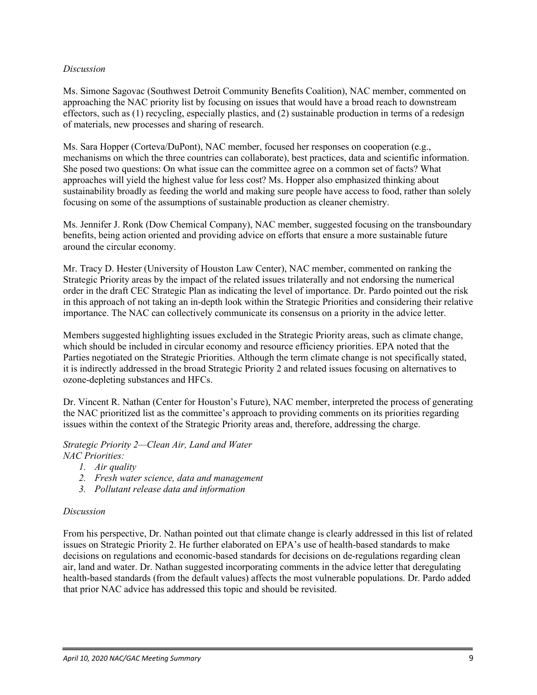#### *Discussion*

Ms. Simone Sagovac (Southwest Detroit Community Benefits Coalition), NAC member, commented on approaching the NAC priority list by focusing on issues that would have a broad reach to downstream effectors, such as (1) recycling, especially plastics, and (2) sustainable production in terms of a redesign of materials, new processes and sharing of research.

Ms. Sara Hopper (Corteva/DuPont), NAC member, focused her responses on cooperation (e.g., mechanisms on which the three countries can collaborate), best practices, data and scientific information. She posed two questions: On what issue can the committee agree on a common set of facts? What approaches will yield the highest value for less cost? Ms. Hopper also emphasized thinking about sustainability broadly as feeding the world and making sure people have access to food, rather than solely focusing on some of the assumptions of sustainable production as cleaner chemistry.

Ms. Jennifer J. Ronk (Dow Chemical Company), NAC member, suggested focusing on the transboundary benefits, being action oriented and providing advice on efforts that ensure a more sustainable future around the circular economy.

Mr. Tracy D. Hester (University of Houston Law Center), NAC member, commented on ranking the Strategic Priority areas by the impact of the related issues trilaterally and not endorsing the numerical order in the draft CEC Strategic Plan as indicating the level of importance. Dr. Pardo pointed out the risk in this approach of not taking an in-depth look within the Strategic Priorities and considering their relative importance. The NAC can collectively communicate its consensus on a priority in the advice letter.

Members suggested highlighting issues excluded in the Strategic Priority areas, such as climate change, which should be included in circular economy and resource efficiency priorities. EPA noted that the Parties negotiated on the Strategic Priorities. Although the term climate change is not specifically stated, it is indirectly addressed in the broad Strategic Priority 2 and related issues focusing on alternatives to ozone-depleting substances and HFCs.

Dr. Vincent R. Nathan (Center for Houston's Future), NAC member, interpreted the process of generating the NAC prioritized list as the committee's approach to providing comments on its priorities regarding issues within the context of the Strategic Priority areas and, therefore, addressing the charge.

#### *Strategic Priority 2—Clean Air, Land and Water NAC Priorities:*

- *1. Air quality*
- *2. Fresh water science, data and management*
- *3. Pollutant release data and information*

#### *Discussion*

From his perspective, Dr. Nathan pointed out that climate change is clearly addressed in this list of related issues on Strategic Priority 2. He further elaborated on EPA's use of health-based standards to make decisions on regulations and economic-based standards for decisions on de-regulations regarding clean air, land and water. Dr. Nathan suggested incorporating comments in the advice letter that deregulating health-based standards (from the default values) affects the most vulnerable populations. Dr. Pardo added that prior NAC advice has addressed this topic and should be revisited.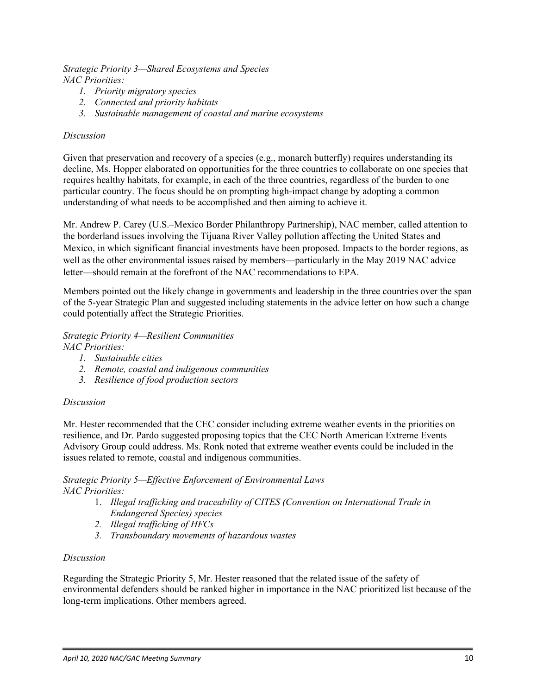*Strategic Priority 3—Shared Ecosystems and Species NAC Priorities:*

- *1. Priority migratory species*
- *2. Connected and priority habitats*
- *3. Sustainable management of coastal and marine ecosystems*

#### *Discussion*

Given that preservation and recovery of a species (e.g., monarch butterfly) requires understanding its decline, Ms. Hopper elaborated on opportunities for the three countries to collaborate on one species that requires healthy habitats, for example, in each of the three countries, regardless of the burden to one particular country. The focus should be on prompting high-impact change by adopting a common understanding of what needs to be accomplished and then aiming to achieve it.

Mr. Andrew P. Carey (U.S.–Mexico Border Philanthropy Partnership), NAC member, called attention to the borderland issues involving the Tijuana River Valley pollution affecting the United States and Mexico, in which significant financial investments have been proposed. Impacts to the border regions, as well as the other environmental issues raised by members—particularly in the May 2019 NAC advice letter—should remain at the forefront of the NAC recommendations to EPA.

Members pointed out the likely change in governments and leadership in the three countries over the span of the 5-year Strategic Plan and suggested including statements in the advice letter on how such a change could potentially affect the Strategic Priorities.

# *Strategic Priority 4—Resilient Communities*

- *NAC Priorities:*
	- *1. Sustainable cities*
	- *2. Remote, coastal and indigenous communities*
	- *3. Resilience of food production sectors*

# *Discussion*

Mr. Hester recommended that the CEC consider including extreme weather events in the priorities on resilience, and Dr. Pardo suggested proposing topics that the CEC North American Extreme Events Advisory Group could address. Ms. Ronk noted that extreme weather events could be included in the issues related to remote, coastal and indigenous communities.

#### *Strategic Priority 5—Effective Enforcement of Environmental Laws NAC Priorities:*

- 1. *Illegal trafficking and traceability of CITES (Convention on International Trade in Endangered Species) species*
- *2. Illegal trafficking of HFCs*
- *3. Transboundary movements of hazardous wastes*

#### *Discussion*

Regarding the Strategic Priority 5, Mr. Hester reasoned that the related issue of the safety of environmental defenders should be ranked higher in importance in the NAC prioritized list because of the long-term implications. Other members agreed.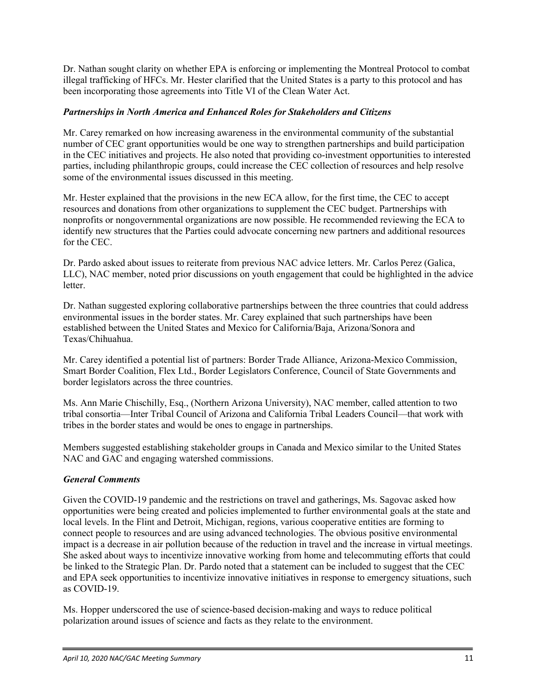Dr. Nathan sought clarity on whether EPA is enforcing or implementing the Montreal Protocol to combat illegal trafficking of HFCs. Mr. Hester clarified that the United States is a party to this protocol and has been incorporating those agreements into Title VI of the Clean Water Act.

# <span id="page-12-0"></span>*Partnerships in North America and Enhanced Roles for Stakeholders and Citizens*

Mr. Carey remarked on how increasing awareness in the environmental community of the substantial number of CEC grant opportunities would be one way to strengthen partnerships and build participation in the CEC initiatives and projects. He also noted that providing co-investment opportunities to interested parties, including philanthropic groups, could increase the CEC collection of resources and help resolve some of the environmental issues discussed in this meeting.

Mr. Hester explained that the provisions in the new ECA allow, for the first time, the CEC to accept resources and donations from other organizations to supplement the CEC budget. Partnerships with nonprofits or nongovernmental organizations are now possible. He recommended reviewing the ECA to identify new structures that the Parties could advocate concerning new partners and additional resources for the CEC.

Dr. Pardo asked about issues to reiterate from previous NAC advice letters. Mr. Carlos Perez (Galica, LLC), NAC member, noted prior discussions on youth engagement that could be highlighted in the advice letter.

Dr. Nathan suggested exploring collaborative partnerships between the three countries that could address environmental issues in the border states. Mr. Carey explained that such partnerships have been established between the United States and Mexico for California/Baja, Arizona/Sonora and Texas/Chihuahua.

Mr. Carey identified a potential list of partners: Border Trade Alliance, Arizona-Mexico Commission, Smart Border Coalition, Flex Ltd., Border Legislators Conference, Council of State Governments and border legislators across the three countries.

Ms. Ann Marie Chischilly, Esq., (Northern Arizona University), NAC member, called attention to two tribal consortia—Inter Tribal Council of Arizona and California Tribal Leaders Council—that work with tribes in the border states and would be ones to engage in partnerships.

Members suggested establishing stakeholder groups in Canada and Mexico similar to the United States NAC and GAC and engaging watershed commissions.

# <span id="page-12-1"></span>*General Comments*

Given the COVID-19 pandemic and the restrictions on travel and gatherings, Ms. Sagovac asked how opportunities were being created and policies implemented to further environmental goals at the state and local levels. In the Flint and Detroit, Michigan, regions, various cooperative entities are forming to connect people to resources and are using advanced technologies. The obvious positive environmental impact is a decrease in air pollution because of the reduction in travel and the increase in virtual meetings. She asked about ways to incentivize innovative working from home and telecommuting efforts that could be linked to the Strategic Plan. Dr. Pardo noted that a statement can be included to suggest that the CEC and EPA seek opportunities to incentivize innovative initiatives in response to emergency situations, such as COVID-19.

Ms. Hopper underscored the use of science-based decision-making and ways to reduce political polarization around issues of science and facts as they relate to the environment.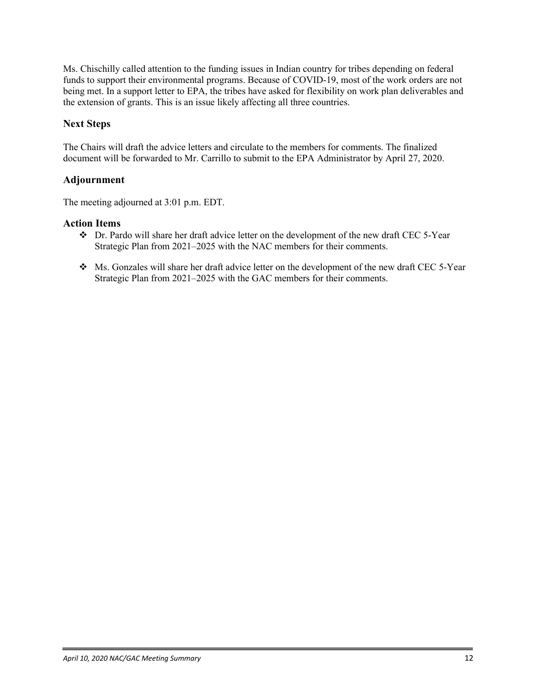Ms. Chischilly called attention to the funding issues in Indian country for tribes depending on federal funds to support their environmental programs. Because of COVID-19, most of the work orders are not being met. In a support letter to EPA, the tribes have asked for flexibility on work plan deliverables and the extension of grants. This is an issue likely affecting all three countries.

# <span id="page-13-0"></span>**Next Steps**

The Chairs will draft the advice letters and circulate to the members for comments. The finalized document will be forwarded to Mr. Carrillo to submit to the EPA Administrator by April 27, 2020.

# <span id="page-13-1"></span>**Adjournment**

The meeting adjourned at 3:01 p.m. EDT.

# <span id="page-13-2"></span>**Action Items**

- Dr. Pardo will share her draft advice letter on the development of the new draft CEC 5-Year Strategic Plan from 2021–2025 with the NAC members for their comments.
- Ms. Gonzales will share her draft advice letter on the development of the new draft CEC 5-Year Strategic Plan from 2021–2025 with the GAC members for their comments.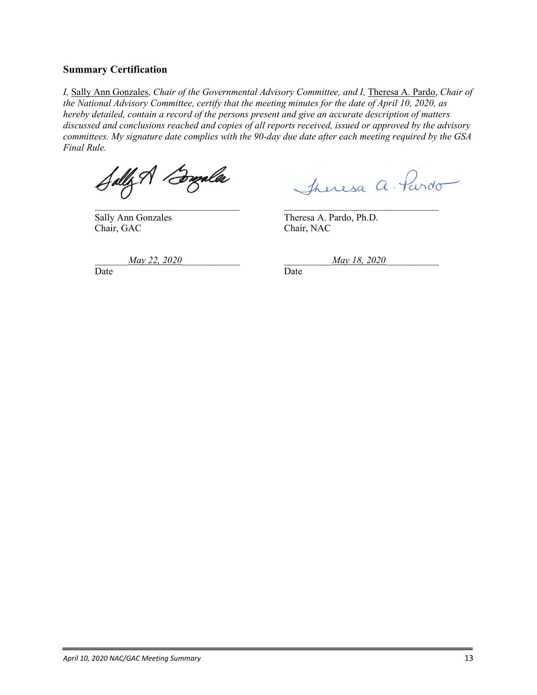# <span id="page-14-0"></span>**Summary Certification**

*I*, Sally Ann Gonzales, *Chair of the Governmental Advisory Committee, and I*, Theresa A. Pardo, *Chair of the National Advisory Committee, certify that the meeting minutes for the date of April 10, 2020, as hereby detailed, contain a record of the persons present and give an accurate description of matters discussed and conclusions reached and copies of all reports received, issued or approved by the advisory committees. My signature date complies with the 90-day due date after each meeting required by the GSA Final Rule.* 

Chair, GAC Chair, NAC

Jally A Burales Jheresa a Pardo

Sally Ann Gonzales Theresa A. Pardo, Ph.D.

\_\_\_\_\_\_\_*May 22, 2020*\_\_\_\_\_\_\_\_\_\_\_\_ \_\_\_\_\_\_\_\_\_\_*May 18, 2020*\_\_\_\_\_\_\_\_\_\_\_

Date **Date** Date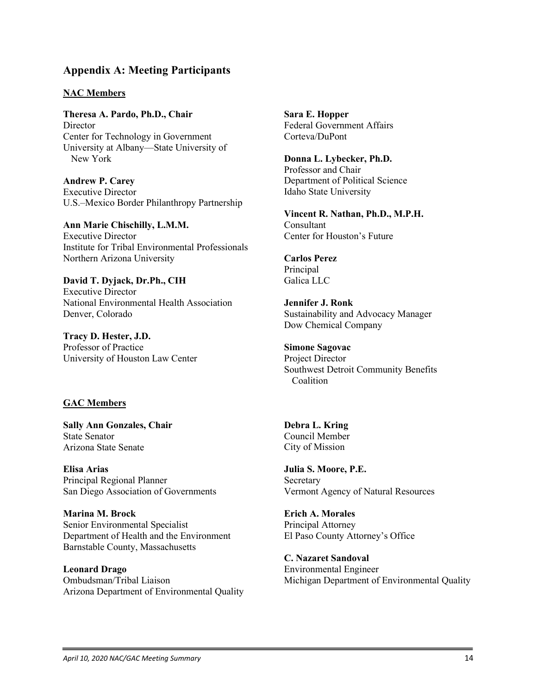# <span id="page-15-0"></span>**Appendix A: Meeting Participants**

#### **NAC Members**

**Theresa A. Pardo, Ph.D., Chair** Director Center for Technology in Government University at Albany—State University of New York

**Andrew P. Carey** Executive Director U.S.–Mexico Border Philanthropy Partnership

**Ann Marie Chischilly, L.M.M.** Executive Director Institute for Tribal Environmental Professionals Northern Arizona University

**David T. Dyjack, Dr.Ph., CIH** Executive Director National Environmental Health Association Denver, Colorado

**Tracy D. Hester, J.D.** Professor of Practice University of Houston Law Center

# **GAC Members**

**Sally Ann Gonzales, Chair** State Senator Arizona State Senate

**Elisa Arias** Principal Regional Planner San Diego Association of Governments

**Marina M. Brock** Senior Environmental Specialist Department of Health and the Environment Barnstable County, Massachusetts

**Leonard Drago** Ombudsman/Tribal Liaison Arizona Department of Environmental Quality **Sara E. Hopper** Federal Government Affairs Corteva/DuPont

**Donna L. Lybecker, Ph.D.** Professor and Chair Department of Political Science Idaho State University

**Vincent R. Nathan, Ph.D., M.P.H.** Consultant Center for Houston's Future

**Carlos Perez Principal** Galica LLC

**Jennifer J. Ronk** Sustainability and Advocacy Manager Dow Chemical Company

**Simone Sagovac** Project Director Southwest Detroit Community Benefits **Coalition** 

**Debra L. Kring** Council Member City of Mission

**Julia S. Moore, P.E.** Secretary Vermont Agency of Natural Resources

**Erich A. Morales** Principal Attorney El Paso County Attorney's Office

**C. Nazaret Sandoval** Environmental Engineer Michigan Department of Environmental Quality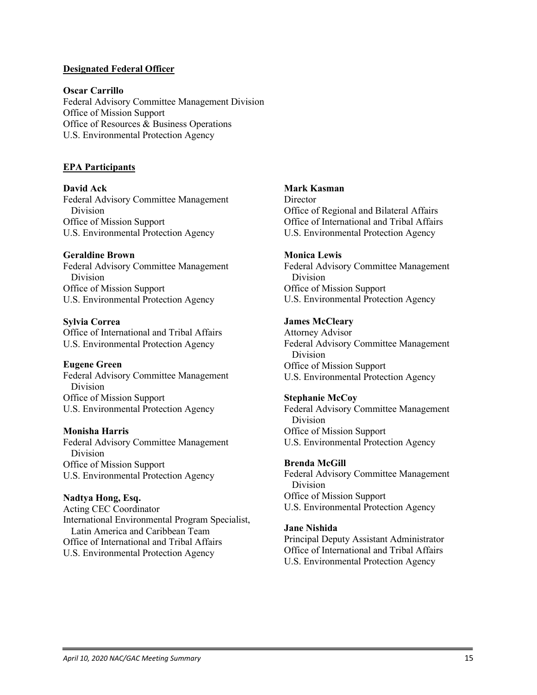#### **Designated Federal Officer**

#### **Oscar Carrillo**

Federal Advisory Committee Management Division Office of Mission Support Office of Resources & Business Operations U.S. Environmental Protection Agency

#### **EPA Participants**

**David Ack** Federal Advisory Committee Management Division Office of Mission Support U.S. Environmental Protection Agency

#### **Geraldine Brown**

Federal Advisory Committee Management Division Office of Mission Support U.S. Environmental Protection Agency

#### **Sylvia Correa**

Office of International and Tribal Affairs U.S. Environmental Protection Agency

#### **Eugene Green**

Federal Advisory Committee Management Division Office of Mission Support U.S. Environmental Protection Agency

#### **Monisha Harris**

Federal Advisory Committee Management Division Office of Mission Support U.S. Environmental Protection Agency

#### **Nadtya Hong, Esq.**

Acting CEC Coordinator International Environmental Program Specialist, Latin America and Caribbean Team Office of International and Tribal Affairs U.S. Environmental Protection Agency

#### **Mark Kasman**

**Director** Office of Regional and Bilateral Affairs Office of International and Tribal Affairs U.S. Environmental Protection Agency

#### **Monica Lewis**

Federal Advisory Committee Management Division Office of Mission Support U.S. Environmental Protection Agency

#### **James McCleary**

Attorney Advisor Federal Advisory Committee Management Division Office of Mission Support U.S. Environmental Protection Agency

#### **Stephanie McCoy**

Federal Advisory Committee Management Division Office of Mission Support U.S. Environmental Protection Agency

#### **Brenda McGill**

Federal Advisory Committee Management Division Office of Mission Support U.S. Environmental Protection Agency

#### **Jane Nishida**

Principal Deputy Assistant Administrator Office of International and Tribal Affairs U.S. Environmental Protection Agency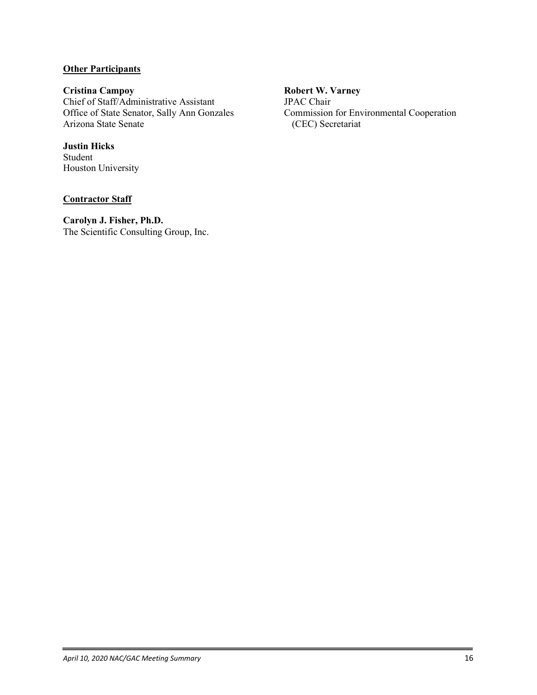# **Other Participants**

**Cristina Campoy** Chief of Staff/Administrative Assistant Office of State Senator, Sally Ann Gonzales Arizona State Senate

**Justin Hicks** Student Houston University

#### **Contractor Staff**

**Carolyn J. Fisher, Ph.D.** The Scientific Consulting Group, Inc.

# **Robert W. Varney**

JPAC Chair Commission for Environmental Cooperation (CEC) Secretariat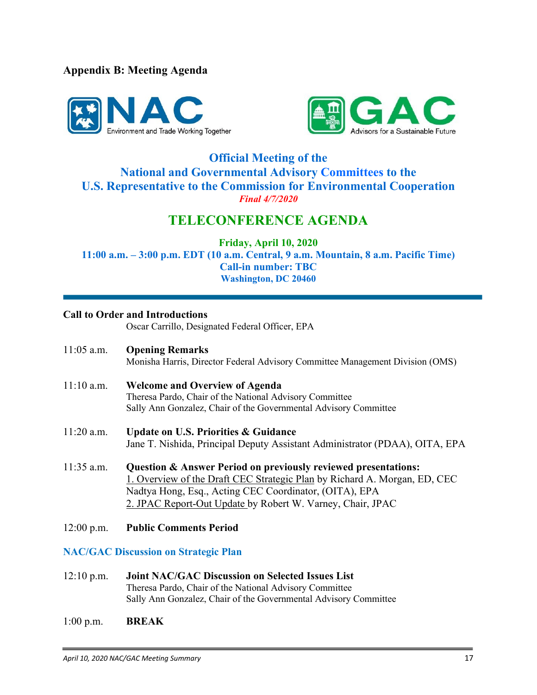<span id="page-18-0"></span>**Appendix B: Meeting Agenda**





# **Official Meeting of the National and Governmental Advisory Committees to the U.S. Representative to the Commission for Environmental Cooperation** *Final 4/7/2020*

# **TELECONFERENCE AGENDA**

**Friday, April 10, 2020**

**11:00 a.m. – 3:00 p.m. EDT (10 a.m. Central, 9 a.m. Mountain, 8 a.m. Pacific Time) Call-in number: TBC Washington, DC 20460**

# **Call to Order and Introductions**

Oscar Carrillo, Designated Federal Officer, EPA

- 11:05 a.m. **Opening Remarks** Monisha Harris, Director Federal Advisory Committee Management Division (OMS)
- 11:10 a.m. **Welcome and Overview of Agenda** Theresa Pardo, Chair of the National Advisory Committee Sally Ann Gonzalez, Chair of the Governmental Advisory Committee
- 11:20 a.m. **Update on U.S. Priorities & Guidance**  Jane T. Nishida, Principal Deputy Assistant Administrator (PDAA), OITA, EPA
- 11:35 a.m. **Question & Answer Period on previously reviewed presentations:** 1. Overview of the Draft CEC Strategic Plan by Richard A. Morgan, ED, CEC Nadtya Hong, Esq., Acting CEC Coordinator, (OITA), EPA 2. JPAC Report-Out Update by Robert W. Varney, Chair, JPAC
- 12:00 p.m. **Public Comments Period**

# **NAC/GAC Discussion on Strategic Plan**

- 12:10 p.m. **Joint NAC/GAC Discussion on Selected Issues List** Theresa Pardo, Chair of the National Advisory Committee Sally Ann Gonzalez, Chair of the Governmental Advisory Committee
- 1:00 p.m. **BREAK**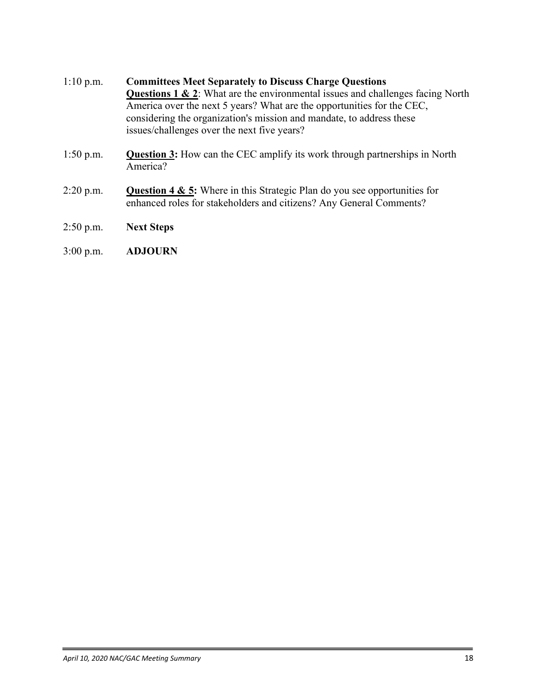- 1:10 p.m. **Committees Meet Separately to Discuss Charge Questions Questions 1 & 2**: What are the environmental issues and challenges facing North America over the next 5 years? What are the opportunities for the CEC, considering the organization's mission and mandate, to address these issues/challenges over the next five years?
- 1:50 p.m. **Question 3:** How can the CEC amplify its work through partnerships in North America?
- 2:20 p.m. **Question 4 & 5:** Where in this Strategic Plan do you see opportunities for enhanced roles for stakeholders and citizens? Any General Comments?
- 2:50 p.m. **Next Steps**
- 3:00 p.m. **ADJOURN**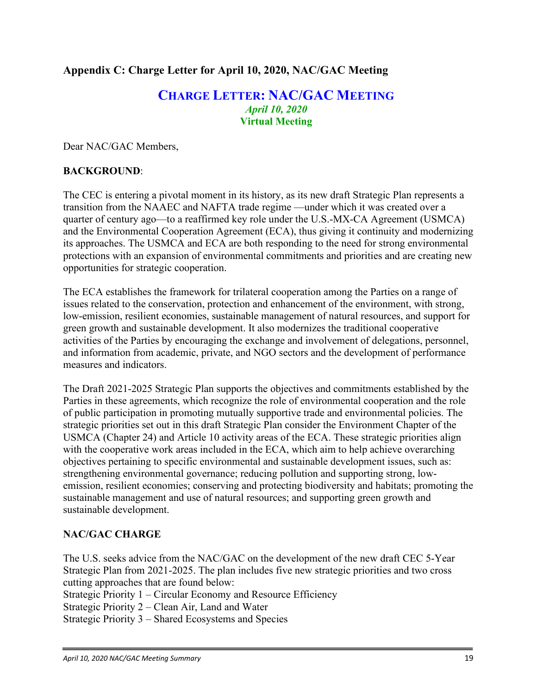# <span id="page-20-0"></span>**Appendix C: Charge Letter for April 10, 2020, NAC/GAC Meeting**

# **CHARGE LETTER: NAC/GAC MEETING** *April 10, 2020* **Virtual Meeting**

Dear NAC/GAC Members,

# **BACKGROUND**:

The CEC is entering a pivotal moment in its history, as its new draft Strategic Plan represents a transition from the NAAEC and NAFTA trade regime —under which it was created over a quarter of century ago—to a reaffirmed key role under the U.S.-MX-CA Agreement (USMCA) and the Environmental Cooperation Agreement (ECA), thus giving it continuity and modernizing its approaches. The USMCA and ECA are both responding to the need for strong environmental protections with an expansion of environmental commitments and priorities and are creating new opportunities for strategic cooperation.

The ECA establishes the framework for trilateral cooperation among the Parties on a range of issues related to the conservation, protection and enhancement of the environment, with strong, low-emission, resilient economies, sustainable management of natural resources, and support for green growth and sustainable development. It also modernizes the traditional cooperative activities of the Parties by encouraging the exchange and involvement of delegations, personnel, and information from academic, private, and NGO sectors and the development of performance measures and indicators.

The Draft 2021-2025 Strategic Plan supports the objectives and commitments established by the Parties in these agreements, which recognize the role of environmental cooperation and the role of public participation in promoting mutually supportive trade and environmental policies. The strategic priorities set out in this draft Strategic Plan consider the Environment Chapter of the USMCA (Chapter 24) and Article 10 activity areas of the ECA. These strategic priorities align with the cooperative work areas included in the ECA, which aim to help achieve overarching objectives pertaining to specific environmental and sustainable development issues, such as: strengthening environmental governance; reducing pollution and supporting strong, lowemission, resilient economies; conserving and protecting biodiversity and habitats; promoting the sustainable management and use of natural resources; and supporting green growth and sustainable development.

# **NAC/GAC CHARGE**

The U.S. seeks advice from the NAC/GAC on the development of the new draft CEC 5-Year Strategic Plan from 2021-2025. The plan includes five new strategic priorities and two cross cutting approaches that are found below:

Strategic Priority 1 – Circular Economy and Resource Efficiency

Strategic Priority 2 – Clean Air, Land and Water

Strategic Priority 3 – Shared Ecosystems and Species